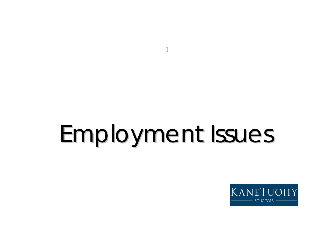# Employment Issues Employment Issues

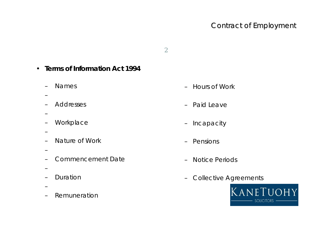- **Terms of Information Act 1994**
	- Names
	-
	- Addresses
	-
	- Workplace
	-
	- Nature of Work
	-
	- Commencement Date
	-
	- Duration
	-
	- Remuneration
- Hours of Work
- Paid Leave
- Incapacity
- Pensions
- Notice Periods
- Collective Agreements

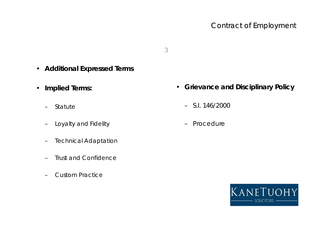- **Additional Expressed Terms**
- **Implied Terms:**
	- Statute
	- Loyalty and Fidelity
	- Technical Adaptation
	- Trust and Confidence
	- Custom Practice
- **Grievance and Disciplinary Policy**
	- S.I. 146/2000
	- Procedure

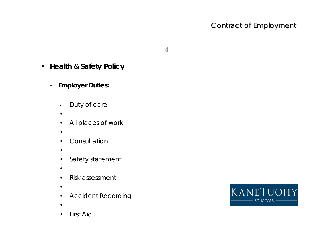- **Health & Safety Policy**
	- **Employer Duties:**
		- Duty of care
		- •
		- All places of work
		- •
		- Consultation
		- •
		- Safety statement
		- •
		- Risk assessment
		- •
		- Accident Recording
		- •
		- **First Aid**

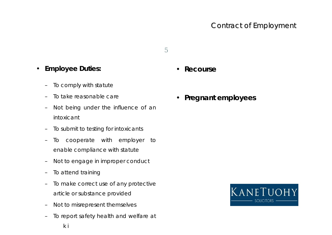#### Contract of Employment

- **Employee Duties:**
	- To comply with statute
	- To take reasonable care
	- Not being under the influence of an intoxicant
	- To submit to testing for intoxicants
	- To cooperate with employer to enable compliance with statute
	- Not to engage in improper conduct
	- To attend training
	- To make correct use of any protective article or substance provided
	- Not to misrepresent themselves
	- To report safety health and welfare at
- **Recourse**
- **Pregnant employees**

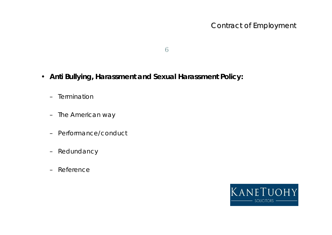- **Anti Bullying, Harassment and Sexual Harassment Policy:**
	- Termination
	- The American way
	- Performance/conduct
	- Redundancy
	- Reference